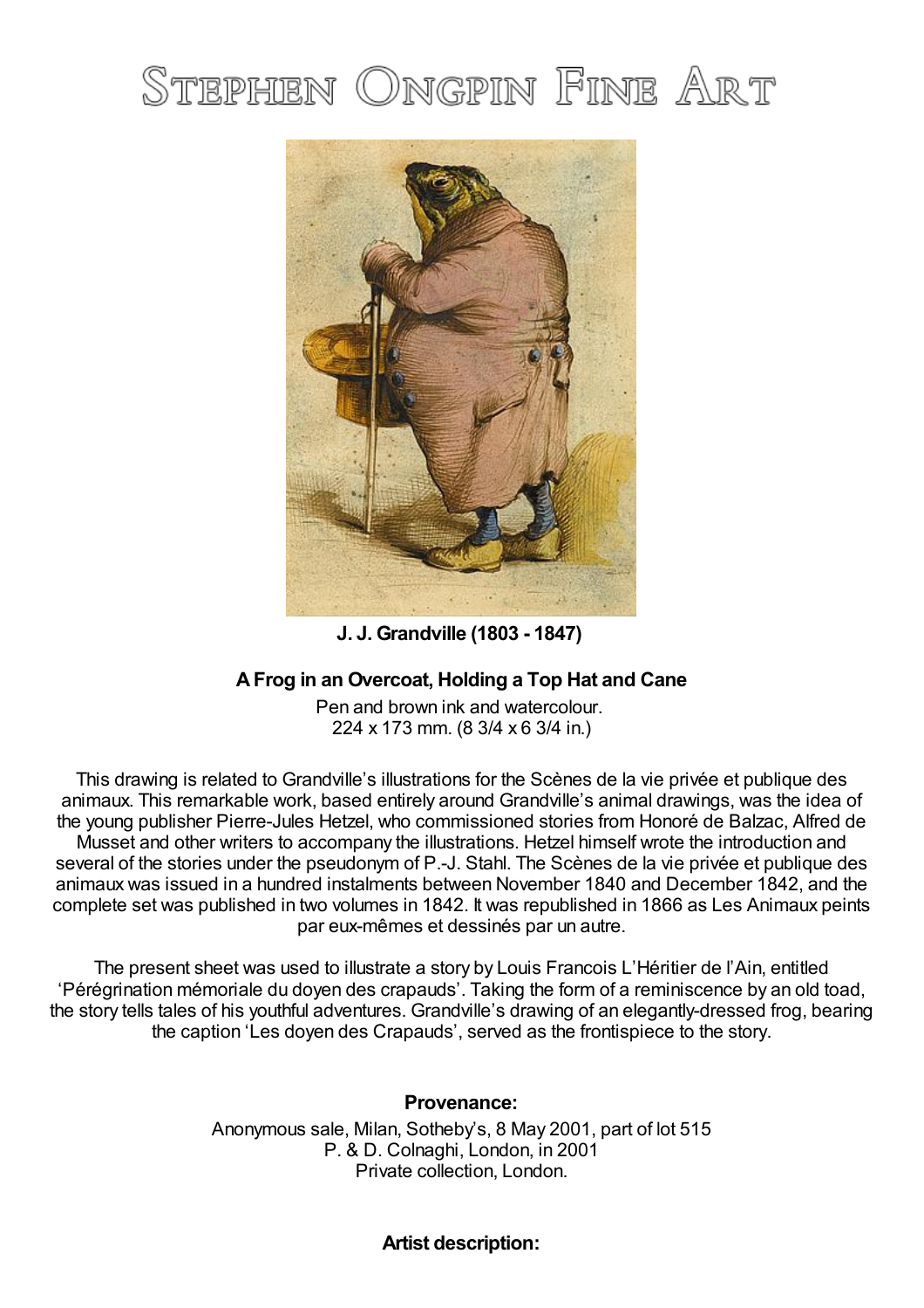## STEPHEN ONGPIN FINE ART



**J. J. Grandville (1803 - 1847)**

## **AFrog in an Overcoat, Holding a Top Hat and Cane**

Pen and brown ink and watercolour. 224 x 173 mm. (8 3/4 x 6 3/4 in.)

This drawing is related to Grandville's illustrations for the Scènes de la vie privée et publique des animaux. This remarkable work, based entirely around Grandville's animal drawings, was the idea of the young publisher Pierre-Jules Hetzel, who commissioned stories from Honoré de Balzac, Alfred de Musset and other writers to accompany the illustrations. Hetzel himself wrote the introduction and several of the stories under the pseudonym of P.-J. Stahl. The Scènes de la vie privée et publique des animaux was issued in a hundred instalments between November 1840 and December 1842, and the complete set was published in two volumes in 1842. It was republished in 1866 as Les Animaux peints par eux-mêmes et dessinés par un autre.

The present sheet was used to illustrate a story by Louis Francois L'Héritier de l'Ain, entitled 'Pérégrination mémoriale du doyen des crapauds'. Taking the form of a reminiscence by an old toad, the story tells tales of his youthful adventures. Grandville's drawing of an elegantly-dressed frog, bearing the caption 'Les doyen des Crapauds', served as the frontispiece to the story.

## **Provenance:**

Anonymous sale, Milan, Sotheby's, 8 May 2001, part of lot 515 P. & D. Colnaghi, London, in 2001 Private collection, London.

## **Artist description:**